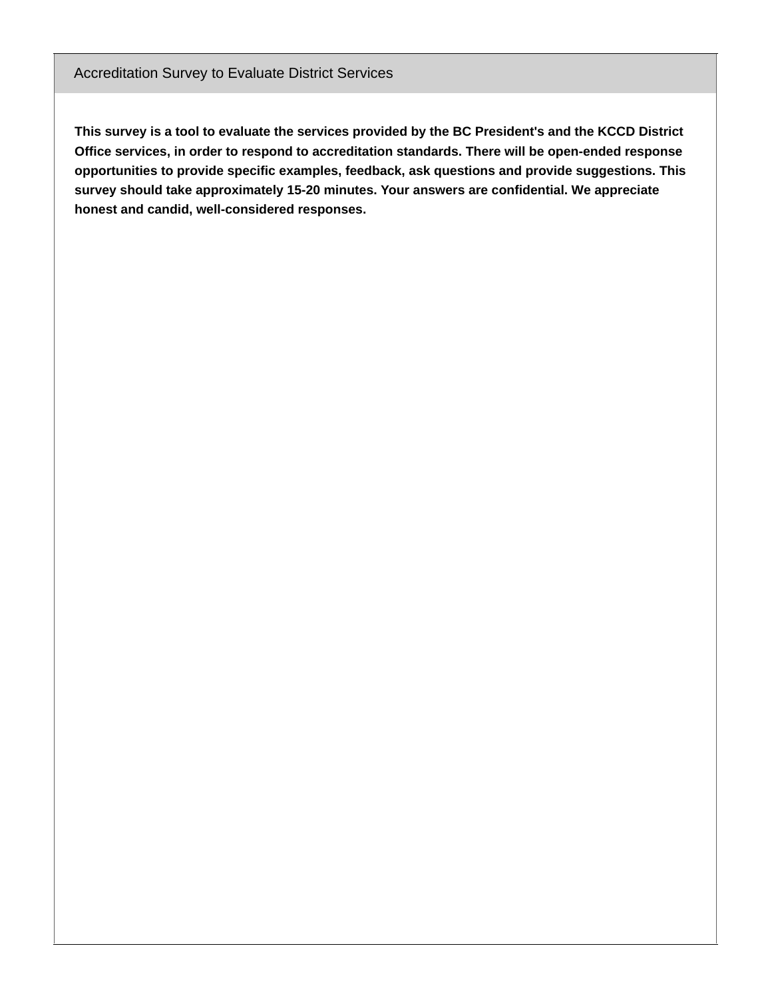## Accreditation Survey to Evaluate District Services

This survey is a tool to evaluate the services provided by the BC President's and the KCCD District **Office services, in order to respond to accreditation standards. There will be open-ended response opportunities to provide specific examples, feedback, ask questions and provide suggestions. This survey should take approximately 15-20 minutes. Your answers are confidential. We appreciate honest and candid, well-considered responses.**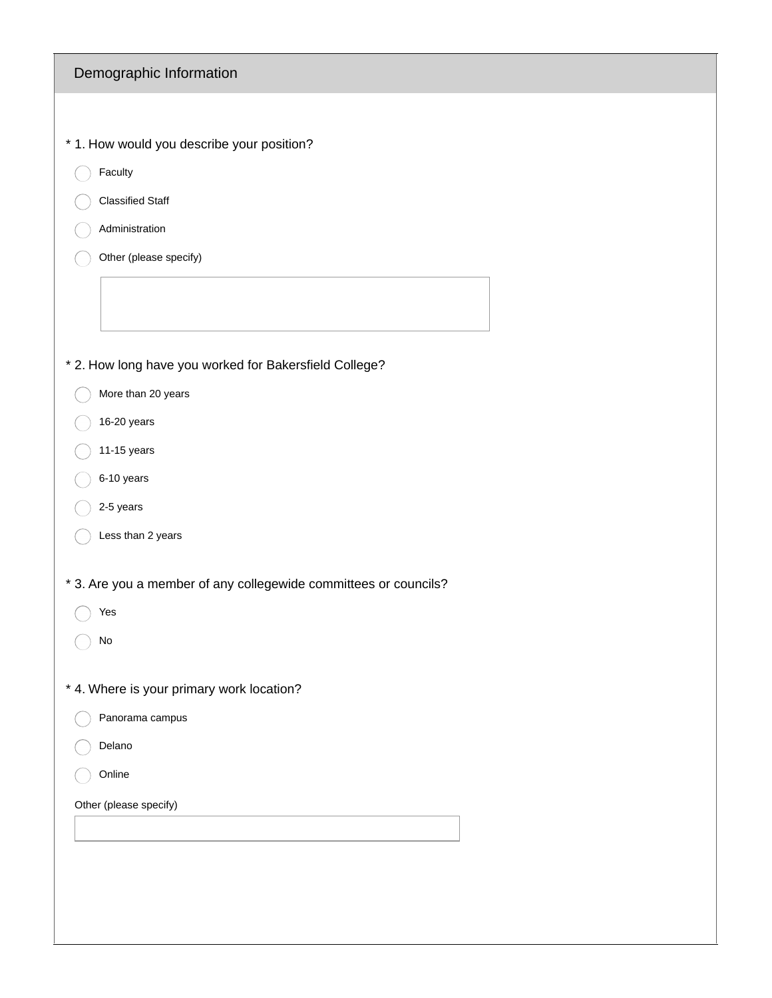| Demographic Information                                          |
|------------------------------------------------------------------|
|                                                                  |
| * 1. How would you describe your position?                       |
| Faculty                                                          |
| <b>Classified Staff</b>                                          |
| Administration                                                   |
| Other (please specify)                                           |
|                                                                  |
| * 2. How long have you worked for Bakersfield College?           |
| More than 20 years                                               |
| 16-20 years                                                      |
| 11-15 years                                                      |
| 6-10 years                                                       |
| 2-5 years                                                        |
| Less than 2 years                                                |
| * 3. Are you a member of any collegewide committees or councils? |
| Yes                                                              |
| No                                                               |
| * 4. Where is your primary work location?                        |
| Panorama campus                                                  |
| Delano                                                           |
| Online                                                           |
| Other (please specify)                                           |
|                                                                  |
|                                                                  |
|                                                                  |
|                                                                  |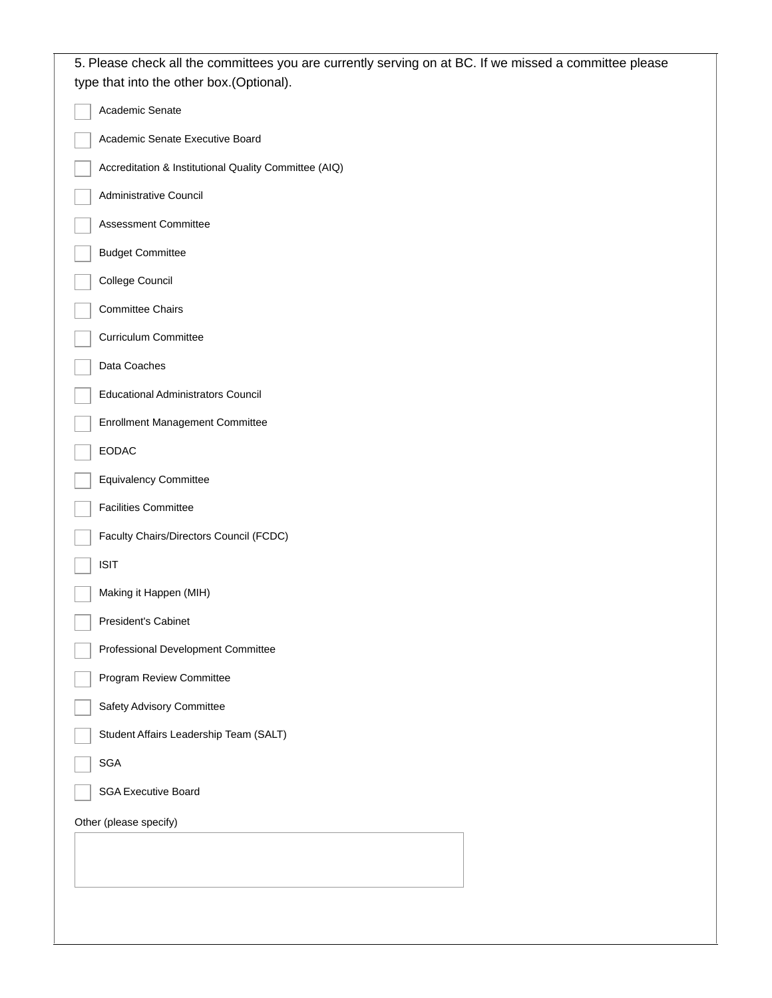| 5. Please check all the committees you are currently serving on at BC. If we missed a committee please<br>type that into the other box.(Optional). |
|----------------------------------------------------------------------------------------------------------------------------------------------------|
| Academic Senate                                                                                                                                    |
| Academic Senate Executive Board                                                                                                                    |
| Accreditation & Institutional Quality Committee (AIQ)                                                                                              |
| Administrative Council                                                                                                                             |
| Assessment Committee                                                                                                                               |
| <b>Budget Committee</b>                                                                                                                            |
| College Council                                                                                                                                    |
| <b>Committee Chairs</b>                                                                                                                            |
| <b>Curriculum Committee</b>                                                                                                                        |
| Data Coaches                                                                                                                                       |
| <b>Educational Administrators Council</b>                                                                                                          |
| Enrollment Management Committee                                                                                                                    |
| <b>EODAC</b>                                                                                                                                       |
| <b>Equivalency Committee</b>                                                                                                                       |
| <b>Facilities Committee</b>                                                                                                                        |
| Faculty Chairs/Directors Council (FCDC)                                                                                                            |
| <b>ISIT</b>                                                                                                                                        |
| Making it Happen (MIH)                                                                                                                             |
| President's Cabinet                                                                                                                                |
| Professional Development Committee                                                                                                                 |
| Program Review Committee                                                                                                                           |
| Safety Advisory Committee                                                                                                                          |
| Student Affairs Leadership Team (SALT)                                                                                                             |
| <b>SGA</b>                                                                                                                                         |
| <b>SGA Executive Board</b>                                                                                                                         |
| Other (please specify)                                                                                                                             |
|                                                                                                                                                    |
|                                                                                                                                                    |
|                                                                                                                                                    |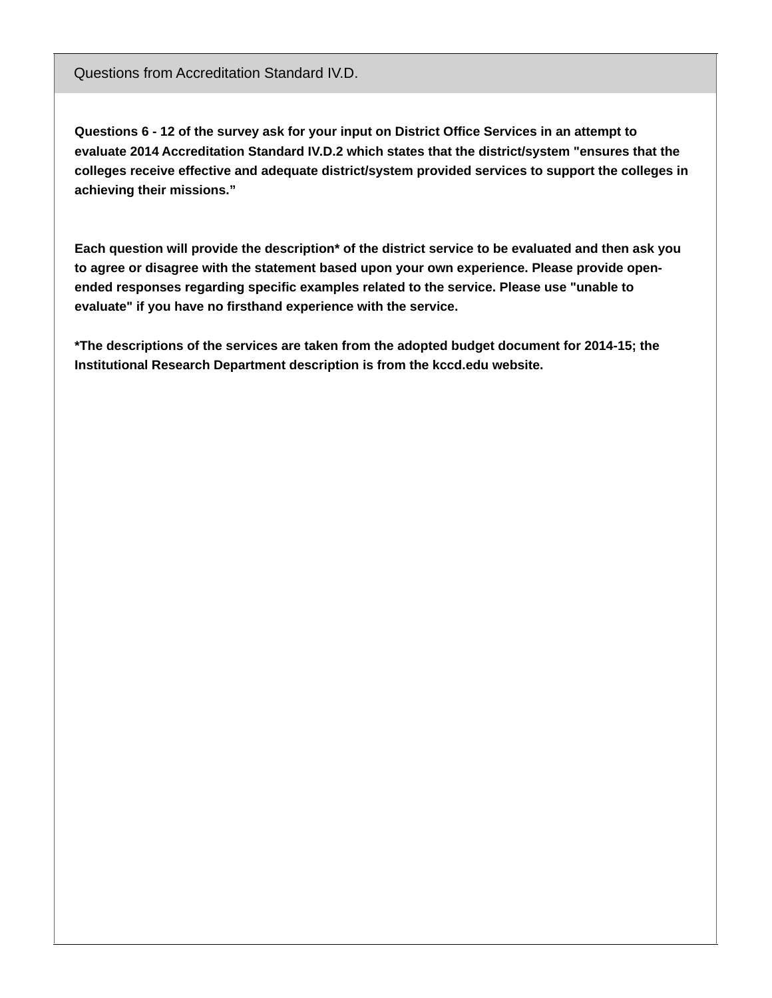Questions from Accreditation Standard IV.D.

Questions 6 - 12 of the survey ask for your input on District Office Services in an attempt to **evaluate 2014 Accreditation Standard IV.D.2 which states that the district/system "ensures that the colleges receive effective and adequate district/system provided services to support the colleges in achieving their missions."**

**Each question will provide the description\* of the district service to be evaluated and then ask you to agree or disagree with the statement based upon your own experience. Please provide openended responses regarding specific examples related to the service. Please use "unable to evaluate" if you have no firsthand experience with the service.**

**\*The descriptions of the services are taken from the adopted budget document for 2014-15; the Institutional Research Department description is from the kccd.edu website.**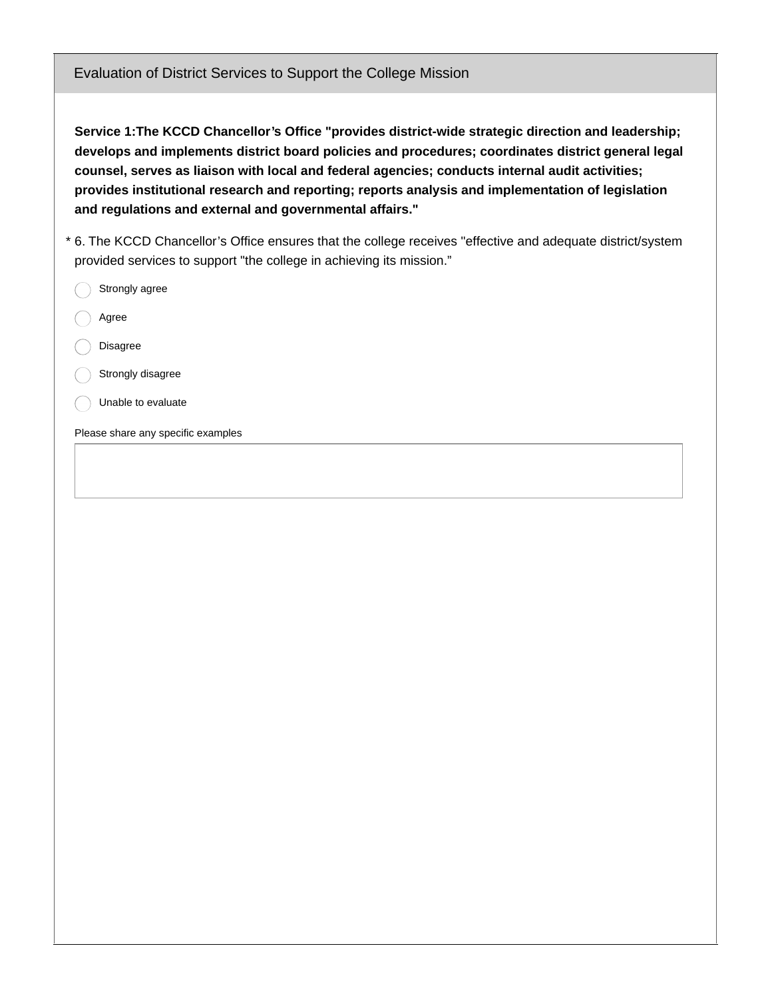Evaluation of District Services to Support the College Mission

**Service 1:The KCCD Chancellor's Office "provides district-wide strategic direction and leadership; develops and implements district board policies and procedures; coordinates district general legal counsel, serves as liaison with local and federal agencies; conducts internal audit activities; provides institutional research and reporting; reports analysis and implementation of legislation and regulations and external and governmental affairs."**

6. The KCCD Chancellor's Office ensures that the college receives "effective and adequate district/system \* provided services to support "the college in achieving its mission."

- Strongly agree
- Agree
- Disagree
- Strongly disagree
- Unable to evaluate

Please share any specific examples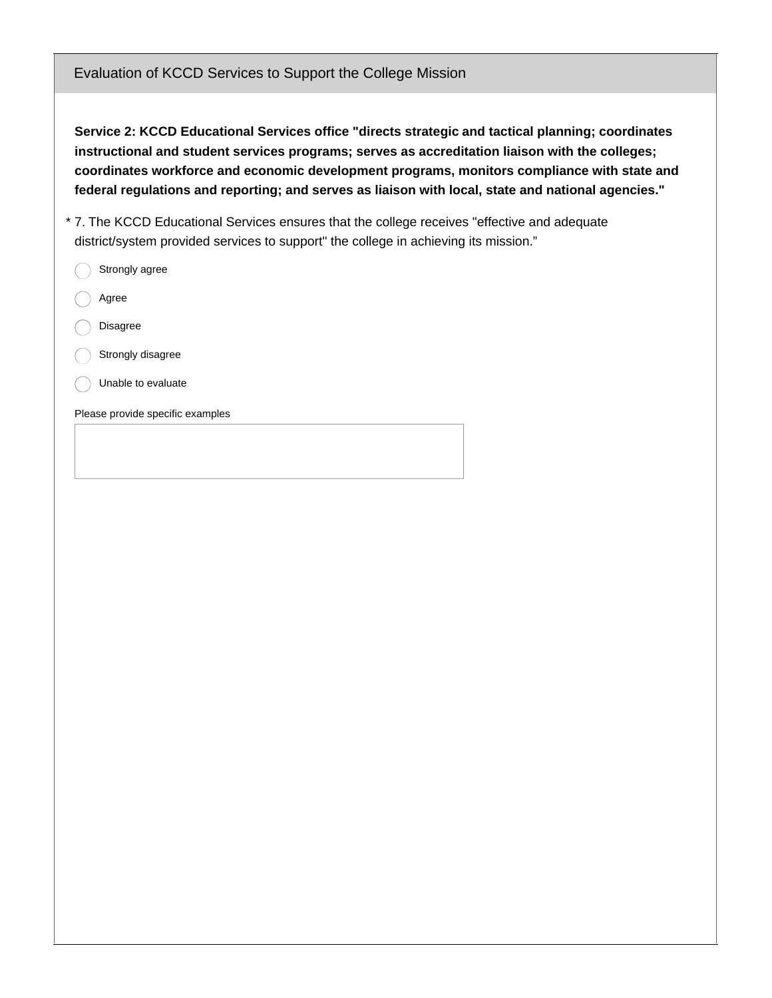Evaluation of KCCD Services to Support the College Mission

**Service 2: KCCD Educational Services office "directs strategic and tactical planning; coordinates instructional and student services programs; serves as accreditation liaison with the colleges; coordinates workforce and economic development programs, monitors compliance with state and federal regulations and reporting; and serves as liaison with local, state and national agencies."**

- 7. The KCCD Educational Services ensures that the college receives "effective and adequate \* district/system provided services to support" the college in achieving its mission."
- Please provide specific examples Strongly agree Agree Disagree Strongly disagree Unable to evaluate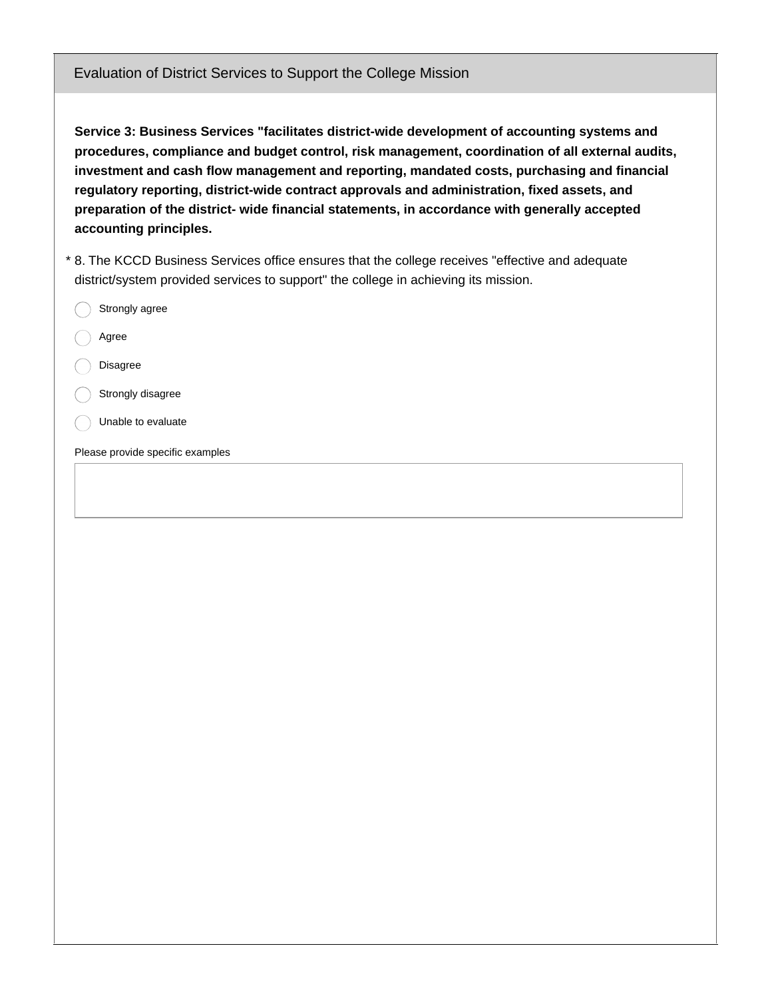**Service 3: Business Services "facilitates district-wide development of accounting systems and procedures, compliance and budget control, risk management, coordination of all external audits, investment and cash flow management and reporting, mandated costs, purchasing and financial regulatory reporting, district-wide contract approvals and administration, fixed assets, and preparation of the district- wide financial statements, in accordance with generally accepted accounting principles.**

\* 8. The KCCD Business Services office ensures that the college receives "effective and adequate district/system provided services to support" the college in achieving its mission.

Strongly agree Agree Disagree Strongly disagree Unable to evaluate

Please provide specific examples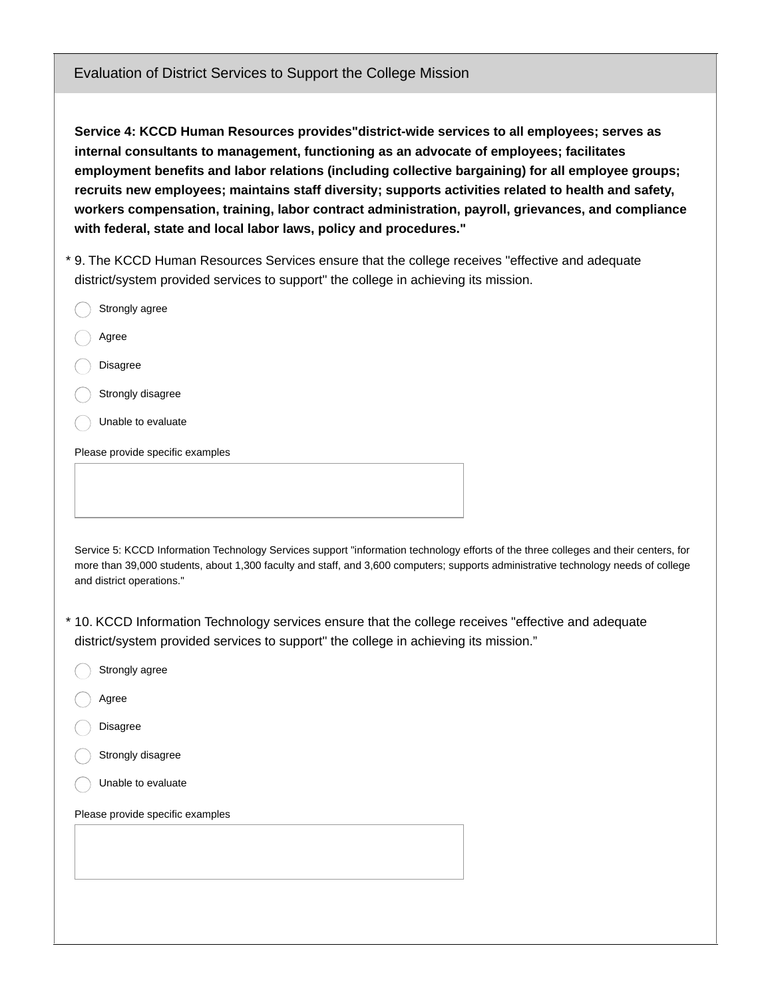**Service 4: KCCD Human Resources provides"district-wide services to all employees; serves as internal consultants to management, functioning as an advocate of employees; facilitates employment benefits and labor relations (including collective bargaining) for all employee groups; recruits new employees; maintains staff diversity; supports activities related to health and safety, workers compensation, training, labor contract administration, payroll, grievances, and compliance with federal, state and local labor laws, policy and procedures."**

9. The KCCD Human Resources Services ensure that the college receives "effective and adequate \* district/system provided services to support" the college in achieving its mission.

| Strongly agree                   |  |
|----------------------------------|--|
| Agree                            |  |
| Disagree                         |  |
| Strongly disagree                |  |
| Unable to evaluate               |  |
| Please provide specific examples |  |
|                                  |  |
|                                  |  |

Service 5: KCCD Information Technology Services support "information technology efforts of the three colleges and their centers, for more than 39,000 students, about 1,300 faculty and staff, and 3,600 computers; supports administrative technology needs of college and district operations."

10. KCCD Information Technology services ensure that the college receives "effective and adequate \* district/system provided services to support" the college in achieving its mission."

- Strongly agree
- Agree
- Disagree
- Strongly disagree
- Unable to evaluate

Please provide specific examples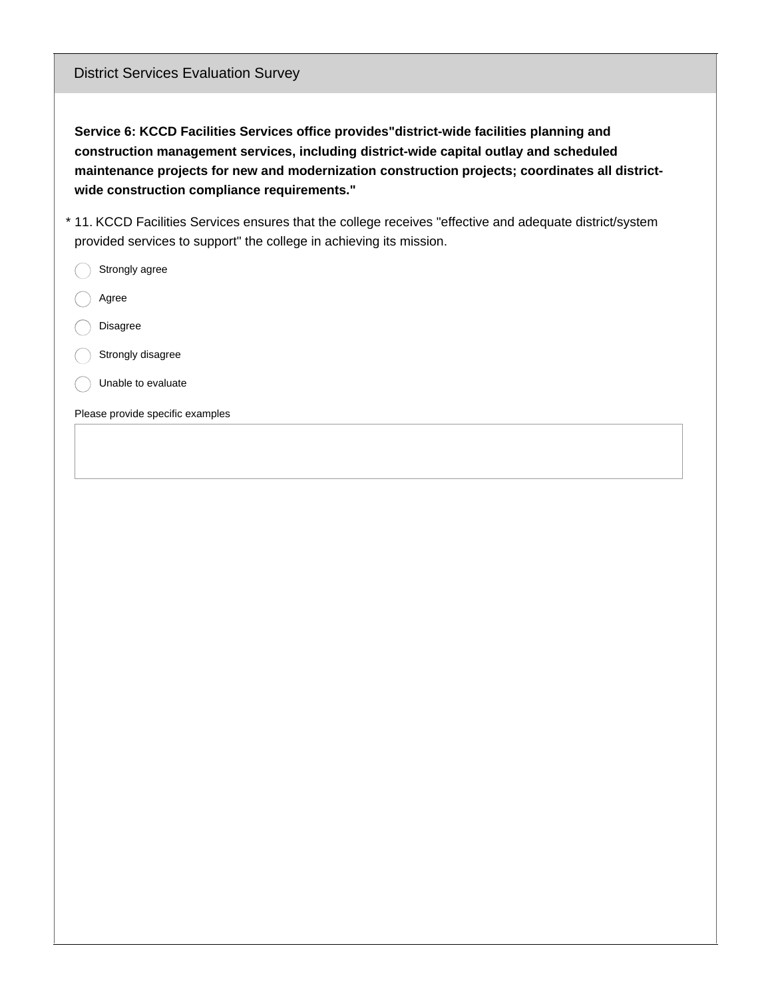District Services Evaluation Survey

**Service 6: KCCD Facilities Services office provides"district-wide facilities planning and construction management services, including district-wide capital outlay and scheduled maintenance projects for new and modernization construction projects; coordinates all districtwide construction compliance requirements."**

- 11. KCCD Facilities Services ensures that the college receives "effective and adequate district/system \* provided services to support" the college in achieving its mission.
	- Strongly agree
	- Agree
	- Disagree
	- Strongly disagree
	- Unable to evaluate

Please provide specific examples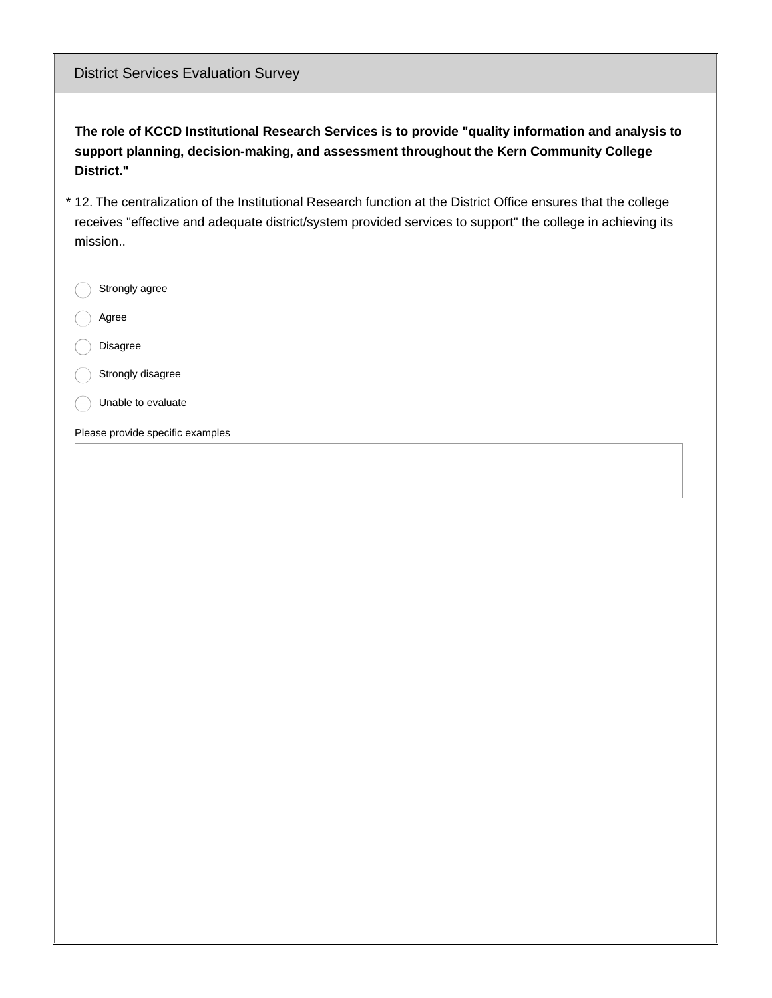| <b>District Services Evaluation Survey</b>                                                                                                                                                                                                |
|-------------------------------------------------------------------------------------------------------------------------------------------------------------------------------------------------------------------------------------------|
| The role of KCCD Institutional Research Services is to provide "quality information and analysis to<br>support planning, decision-making, and assessment throughout the Kern Community College<br>District."                              |
| * 12. The centralization of the Institutional Research function at the District Office ensures that the college<br>receives "effective and adequate district/system provided services to support" the college in achieving its<br>mission |
| Strongly agree                                                                                                                                                                                                                            |
| Agree                                                                                                                                                                                                                                     |
| <b>Disagree</b>                                                                                                                                                                                                                           |
| Strongly disagree                                                                                                                                                                                                                         |
| Unable to evaluate                                                                                                                                                                                                                        |
| Please provide specific examples                                                                                                                                                                                                          |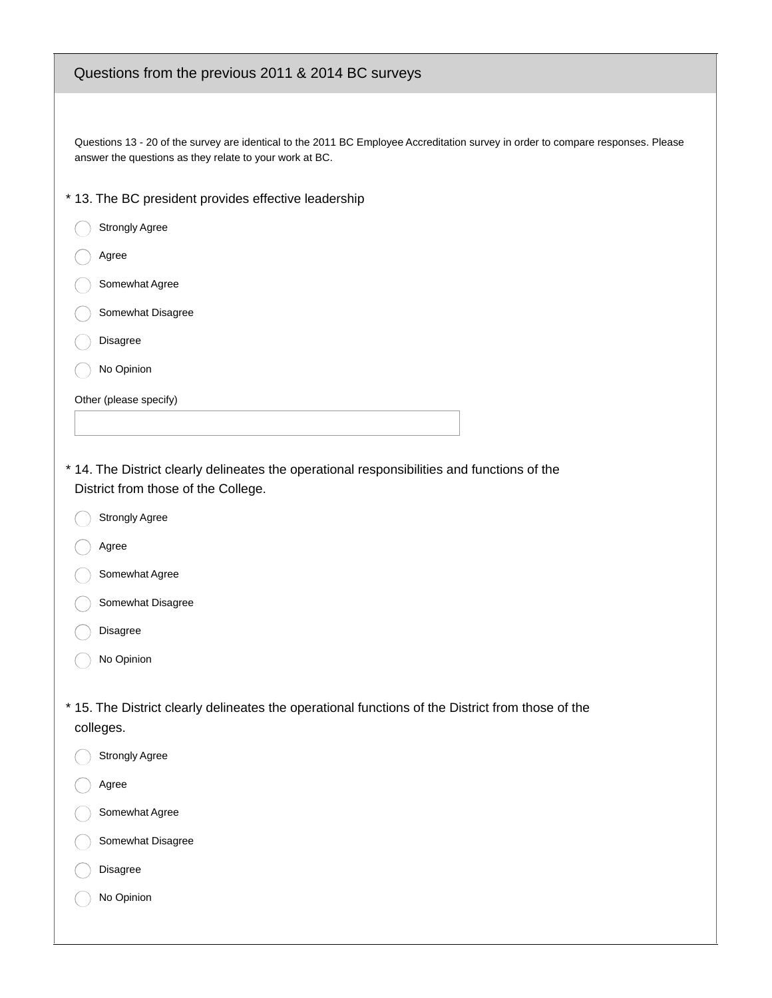## Questions from the previous 2011 & 2014 BC surveys

Questions 13 - 20 of the survey are identical to the 2011 BC Employee Accreditation survey in order to compare responses. Please answer the questions as they relate to your work at BC.

- \* 13. The BC president provides effective leadership
- Strongly Agree Agree Somewhat Agree Somewhat Disagree Disagree No Opinion

Other (please specify)

14. The District clearly delineates the operational responsibilities and functions of the \* District from those of the College.

- Strongly Agree
- Agree
- Somewhat Agree
- Somewhat Disagree
- Disagree
- No Opinion

15. The District clearly delineates the operational functions of the District from those of the \* colleges.

- Strongly Agree
- Agree
- Somewhat Agree
- Somewhat Disagree
- Disagree
- No Opinion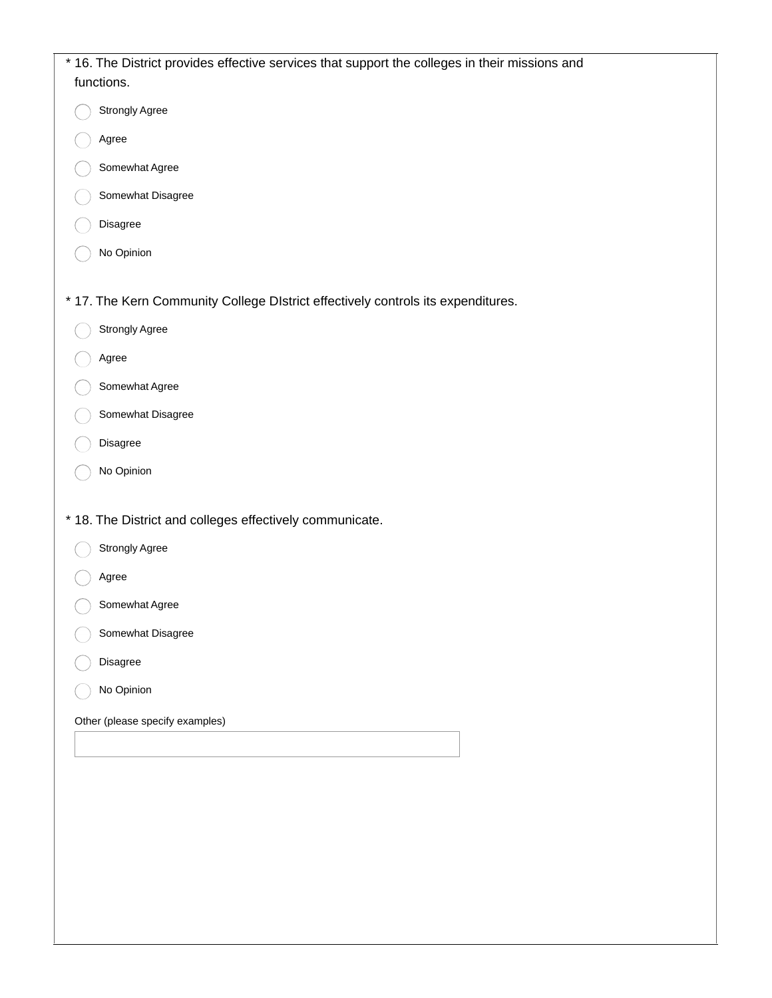| * 16. The District provides effective services that support the colleges in their missions and<br>functions. |
|--------------------------------------------------------------------------------------------------------------|
| <b>Strongly Agree</b>                                                                                        |
| Agree                                                                                                        |
| Somewhat Agree                                                                                               |
| Somewhat Disagree                                                                                            |
| Disagree                                                                                                     |
| No Opinion                                                                                                   |
| * 17. The Kern Community College DIstrict effectively controls its expenditures.                             |
| Strongly Agree                                                                                               |
| Agree                                                                                                        |
| Somewhat Agree                                                                                               |
| Somewhat Disagree                                                                                            |
| Disagree                                                                                                     |
| No Opinion                                                                                                   |
| * 18. The District and colleges effectively communicate.                                                     |
| <b>Strongly Agree</b>                                                                                        |
| Agree                                                                                                        |
| Somewhat Agree                                                                                               |
| Somewhat Disagree                                                                                            |
| Disagree                                                                                                     |
| No Opinion                                                                                                   |
| Other (please specify examples)                                                                              |
|                                                                                                              |